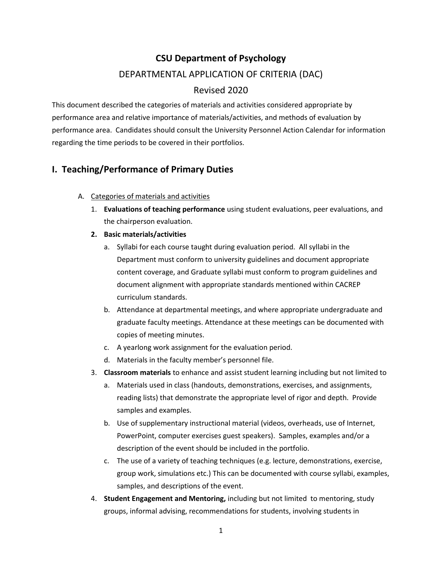# **CSU Department of Psychology** DEPARTMENTAL APPLICATION OF CRITERIA (DAC)

# Revised 2020

This document described the categories of materials and activities considered appropriate by performance area and relative importance of materials/activities, and methods of evaluation by performance area. Candidates should consult the University Personnel Action Calendar for information regarding the time periods to be covered in their portfolios.

# **I. Teaching/Performance of Primary Duties**

- A. Categories of materials and activities
	- 1. **Evaluations of teaching performance** using student evaluations, peer evaluations, and the chairperson evaluation.
	- **2. Basic materials/activities**
		- a. Syllabi for each course taught during evaluation period. All syllabi in the Department must conform to university guidelines and document appropriate content coverage, and Graduate syllabi must conform to program guidelines and document alignment with appropriate standards mentioned within CACREP curriculum standards.
		- b. Attendance at departmental meetings, and where appropriate undergraduate and graduate faculty meetings. Attendance at these meetings can be documented with copies of meeting minutes.
		- c. A yearlong work assignment for the evaluation period.
		- d. Materials in the faculty member's personnel file.
	- 3. **Classroom materials** to enhance and assist student learning including but not limited to
		- a. Materials used in class (handouts, demonstrations, exercises, and assignments, reading lists) that demonstrate the appropriate level of rigor and depth. Provide samples and examples.
		- b. Use of supplementary instructional material (videos, overheads, use of Internet, PowerPoint, computer exercises guest speakers). Samples, examples and/or a description of the event should be included in the portfolio.
		- c. The use of a variety of teaching techniques (e.g. lecture, demonstrations, exercise, group work, simulations etc.) This can be documented with course syllabi, examples, samples, and descriptions of the event.
	- 4. **Student Engagement and Mentoring,** including but not limited to mentoring, study groups, informal advising, recommendations for students, involving students in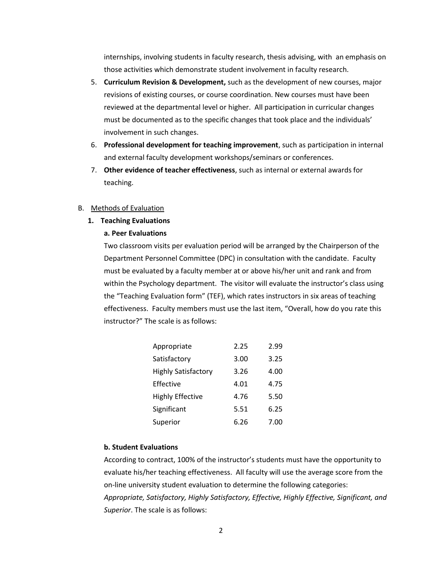internships, involving students in faculty research, thesis advising, with an emphasis on those activities which demonstrate student involvement in faculty research.

- 5. **Curriculum Revision & Development,** such as the development of new courses, major revisions of existing courses, or course coordination. New courses must have been reviewed at the departmental level or higher. All participation in curricular changes must be documented as to the specific changes that took place and the individuals' involvement in such changes.
- 6. **Professional development for teaching improvement**, such as participation in internal and external faculty development workshops/seminars or conferences.
- 7. **Other evidence of teacher effectiveness**, such as internal or external awards for teaching.

#### B. Methods of Evaluation

#### **1. Teaching Evaluations**

#### **a. Peer Evaluations**

Two classroom visits per evaluation period will be arranged by the Chairperson of the Department Personnel Committee (DPC) in consultation with the candidate. Faculty must be evaluated by a faculty member at or above his/her unit and rank and from within the Psychology department. The visitor will evaluate the instructor's class using the "Teaching Evaluation form" (TEF), which rates instructors in six areas of teaching effectiveness. Faculty members must use the last item, "Overall, how do you rate this instructor?" The scale is as follows:

| Appropriate                | 2.25 | 2.99 |
|----------------------------|------|------|
| Satisfactory               | 3.00 | 3.25 |
| <b>Highly Satisfactory</b> | 3.26 | 4.00 |
| Effective                  | 4.01 | 4.75 |
| <b>Highly Effective</b>    | 4.76 | 5.50 |
| Significant                | 5.51 | 6.25 |
| Superior                   | 6.26 | 7.00 |

#### **b. Student Evaluations**

According to contract, 100% of the instructor's students must have the opportunity to evaluate his/her teaching effectiveness. All faculty will use the average score from the on-line university student evaluation to determine the following categories: *Appropriate, Satisfactory, Highly Satisfactory, Effective, Highly Effective, Significant, and Superior*. The scale is as follows: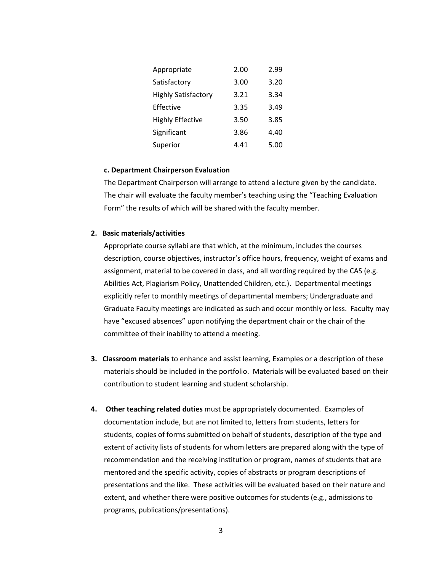| Appropriate                | 2.00 | 2.99 |
|----------------------------|------|------|
| Satisfactory               | 3.00 | 3.20 |
| <b>Highly Satisfactory</b> | 3.21 | 3.34 |
| Effective                  | 3.35 | 3.49 |
| <b>Highly Effective</b>    | 3.50 | 3.85 |
| Significant                | 3.86 | 4.40 |
| Superior                   | 4.41 | 5.00 |

#### **c. Department Chairperson Evaluation**

The Department Chairperson will arrange to attend a lecture given by the candidate. The chair will evaluate the faculty member's teaching using the "Teaching Evaluation Form" the results of which will be shared with the faculty member.

#### **2. Basic materials/activities**

Appropriate course syllabi are that which, at the minimum, includes the courses description, course objectives, instructor's office hours, frequency, weight of exams and assignment, material to be covered in class, and all wording required by the CAS (e.g. Abilities Act, Plagiarism Policy, Unattended Children, etc.). Departmental meetings explicitly refer to monthly meetings of departmental members; Undergraduate and Graduate Faculty meetings are indicated as such and occur monthly or less. Faculty may have "excused absences" upon notifying the department chair or the chair of the committee of their inability to attend a meeting.

- **3. Classroom materials** to enhance and assist learning, Examples or a description of these materials should be included in the portfolio. Materials will be evaluated based on their contribution to student learning and student scholarship.
- **4. Other teaching related duties** must be appropriately documented. Examples of documentation include, but are not limited to, letters from students, letters for students, copies of forms submitted on behalf of students, description of the type and extent of activity lists of students for whom letters are prepared along with the type of recommendation and the receiving institution or program, names of students that are mentored and the specific activity, copies of abstracts or program descriptions of presentations and the like. These activities will be evaluated based on their nature and extent, and whether there were positive outcomes for students (e.g., admissions to programs, publications/presentations).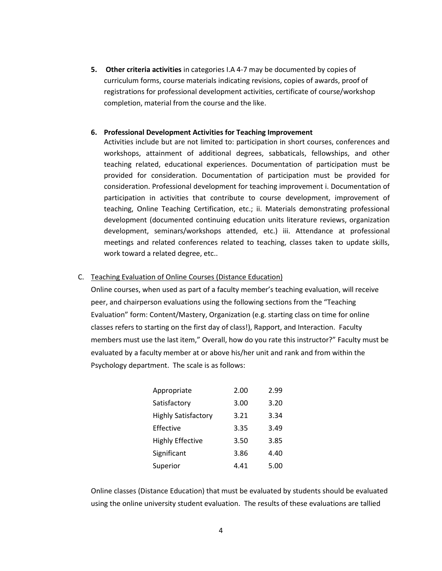**5. Other criteria activities** in categories I.A 4-7 may be documented by copies of curriculum forms, course materials indicating revisions, copies of awards, proof of registrations for professional development activities, certificate of course/workshop completion, material from the course and the like.

#### **6. Professional Development Activities for Teaching Improvement**

Activities include but are not limited to: participation in short courses, conferences and workshops, attainment of additional degrees, sabbaticals, fellowships, and other teaching related, educational experiences. Documentation of participation must be provided for consideration. Documentation of participation must be provided for consideration. Professional development for teaching improvement i. Documentation of participation in activities that contribute to course development, improvement of teaching, Online Teaching Certification, etc.; ii. Materials demonstrating professional development (documented continuing education units literature reviews, organization development, seminars/workshops attended, etc.) iii. Attendance at professional meetings and related conferences related to teaching, classes taken to update skills, work toward a related degree, etc..

# C. Teaching Evaluation of Online Courses (Distance Education)

Online courses, when used as part of a faculty member's teaching evaluation, will receive peer, and chairperson evaluations using the following sections from the "Teaching Evaluation" form: Content/Mastery, Organization (e.g. starting class on time for online classes refers to starting on the first day of class!), Rapport, and Interaction. Faculty members must use the last item," Overall, how do you rate this instructor?" Faculty must be evaluated by a faculty member at or above his/her unit and rank and from within the Psychology department. The scale is as follows:

| Appropriate                | 2.00 | 2.99 |
|----------------------------|------|------|
| Satisfactory               | 3.00 | 3.20 |
| <b>Highly Satisfactory</b> | 3.21 | 3.34 |
| Effective                  | 3.35 | 3.49 |
| <b>Highly Effective</b>    | 3.50 | 3.85 |
| Significant                | 3.86 | 4.40 |
| Superior                   | 4.41 | 5.00 |

Online classes (Distance Education) that must be evaluated by students should be evaluated using the online university student evaluation. The results of these evaluations are tallied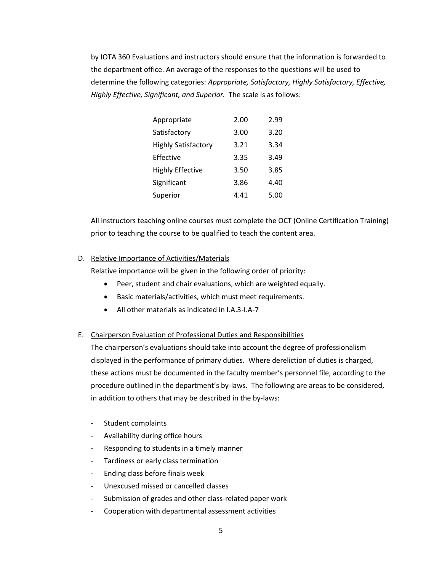by IOTA 360 Evaluations and instructors should ensure that the information is forwarded to the department office. An average of the responses to the questions will be used to determine the following categories: *Appropriate, Satisfactory, Highly Satisfactory, Effective, Highly Effective, Significant, and Superior.* The scale is as follows:

| Appropriate                | 2.00 | 2.99 |
|----------------------------|------|------|
| Satisfactory               | 3.00 | 3.20 |
| <b>Highly Satisfactory</b> | 3.21 | 3.34 |
| Effective                  | 3.35 | 3.49 |
| <b>Highly Effective</b>    | 3.50 | 3.85 |
| Significant                | 3.86 | 4.40 |
| Superior                   | 4.41 | 5.00 |

All instructors teaching online courses must complete the OCT (Online Certification Training) prior to teaching the course to be qualified to teach the content area.

#### D. Relative Importance of Activities/Materials

Relative importance will be given in the following order of priority:

- Peer, student and chair evaluations, which are weighted equally.
- Basic materials/activities, which must meet requirements.
- All other materials as indicated in I.A.3-I.A-7

# E. Chairperson Evaluation of Professional Duties and Responsibilities

The chairperson's evaluations should take into account the degree of professionalism displayed in the performance of primary duties. Where dereliction of duties is charged, these actions must be documented in the faculty member's personnel file, according to the procedure outlined in the department's by-laws. The following are areas to be considered, in addition to others that may be described in the by-laws:

- Student complaints
- Availability during office hours
- Responding to students in a timely manner
- Tardiness or early class termination
- Ending class before finals week
- Unexcused missed or cancelled classes
- Submission of grades and other class-related paper work
- Cooperation with departmental assessment activities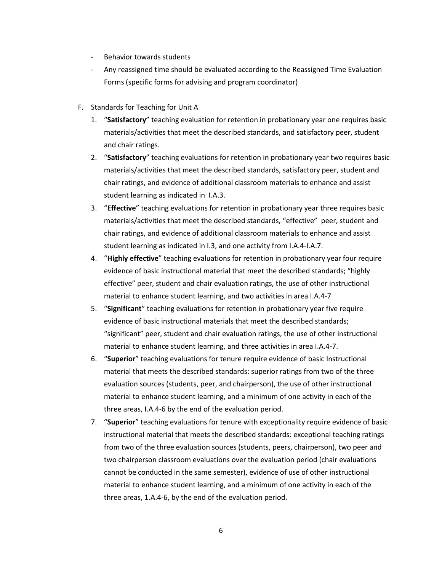- Behavior towards students
- Any reassigned time should be evaluated according to the Reassigned Time Evaluation Forms (specific forms for advising and program coordinator)

# F. Standards for Teaching for Unit A

- 1. "**Satisfactory**" teaching evaluation for retention in probationary year one requires basic materials/activities that meet the described standards, and satisfactory peer, student and chair ratings.
- 2. "**Satisfactory**" teaching evaluations for retention in probationary year two requires basic materials/activities that meet the described standards, satisfactory peer, student and chair ratings, and evidence of additional classroom materials to enhance and assist student learning as indicated in I.A.3.
- 3. "**Effective**" teaching evaluations for retention in probationary year three requires basic materials/activities that meet the described standards, "effective" peer, student and chair ratings, and evidence of additional classroom materials to enhance and assist student learning as indicated in I.3, and one activity from I.A.4-I.A.7.
- 4. "**Highly effective**" teaching evaluations for retention in probationary year four require evidence of basic instructional material that meet the described standards; "highly effective" peer, student and chair evaluation ratings, the use of other instructional material to enhance student learning, and two activities in area I.A.4-7
- 5. "**Significant**" teaching evaluations for retention in probationary year five require evidence of basic instructional materials that meet the described standards; "significant" peer, student and chair evaluation ratings, the use of other instructional material to enhance student learning, and three activities in area I.A.4-7.
- 6. "**Superior**" teaching evaluations for tenure require evidence of basic Instructional material that meets the described standards: superior ratings from two of the three evaluation sources (students, peer, and chairperson), the use of other instructional material to enhance student learning, and a minimum of one activity in each of the three areas, I.A.4-6 by the end of the evaluation period.
- 7. "**Superior**" teaching evaluations for tenure with exceptionality require evidence of basic instructional material that meets the described standards: exceptional teaching ratings from two of the three evaluation sources (students, peers, chairperson), two peer and two chairperson classroom evaluations over the evaluation period (chair evaluations cannot be conducted in the same semester), evidence of use of other instructional material to enhance student learning, and a minimum of one activity in each of the three areas, 1.A.4-6, by the end of the evaluation period.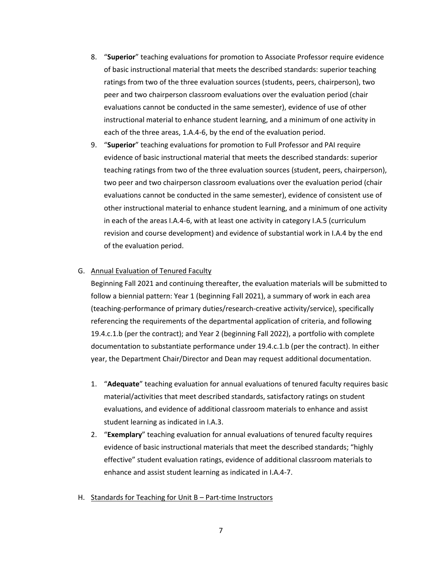- 8. "**Superior**" teaching evaluations for promotion to Associate Professor require evidence of basic instructional material that meets the described standards: superior teaching ratings from two of the three evaluation sources (students, peers, chairperson), two peer and two chairperson classroom evaluations over the evaluation period (chair evaluations cannot be conducted in the same semester), evidence of use of other instructional material to enhance student learning, and a minimum of one activity in each of the three areas, 1.A.4-6, by the end of the evaluation period.
- 9. "**Superior**" teaching evaluations for promotion to Full Professor and PAI require evidence of basic instructional material that meets the described standards: superior teaching ratings from two of the three evaluation sources (student, peers, chairperson), two peer and two chairperson classroom evaluations over the evaluation period (chair evaluations cannot be conducted in the same semester), evidence of consistent use of other instructional material to enhance student learning, and a minimum of one activity in each of the areas I.A.4-6, with at least one activity in category I.A.5 (curriculum revision and course development) and evidence of substantial work in I.A.4 by the end of the evaluation period.

#### G. Annual Evaluation of Tenured Faculty

Beginning Fall 2021 and continuing thereafter, the evaluation materials will be submitted to follow a biennial pattern: Year 1 (beginning Fall 2021), a summary of work in each area (teaching-performance of primary duties/research-creative activity/service), specifically referencing the requirements of the departmental application of criteria, and following 19.4.c.1.b (per the contract); and Year 2 (beginning Fall 2022), a portfolio with complete documentation to substantiate performance under 19.4.c.1.b (per the contract). In either year, the Department Chair/Director and Dean may request additional documentation.

- 1. "**Adequate**" teaching evaluation for annual evaluations of tenured faculty requires basic material/activities that meet described standards, satisfactory ratings on student evaluations, and evidence of additional classroom materials to enhance and assist student learning as indicated in I.A.3.
- 2. "**Exemplary**" teaching evaluation for annual evaluations of tenured faculty requires evidence of basic instructional materials that meet the described standards; "highly effective" student evaluation ratings, evidence of additional classroom materials to enhance and assist student learning as indicated in I.A.4-7.
- H. Standards for Teaching for Unit B Part-time Instructors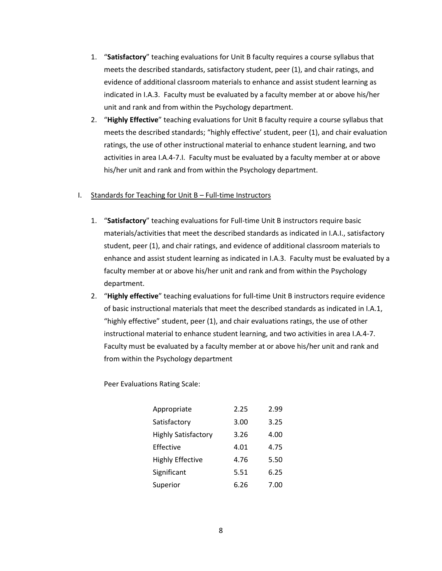- 1. "**Satisfactory**" teaching evaluations for Unit B faculty requires a course syllabus that meets the described standards, satisfactory student, peer (1), and chair ratings, and evidence of additional classroom materials to enhance and assist student learning as indicated in I.A.3. Faculty must be evaluated by a faculty member at or above his/her unit and rank and from within the Psychology department.
- 2. "**Highly Effective**" teaching evaluations for Unit B faculty require a course syllabus that meets the described standards; "highly effective' student, peer (1), and chair evaluation ratings, the use of other instructional material to enhance student learning, and two activities in area I.A.4-7.I. Faculty must be evaluated by a faculty member at or above his/her unit and rank and from within the Psychology department.

#### I. Standards for Teaching for Unit B – Full-time Instructors

- 1. "**Satisfactory**" teaching evaluations for Full-time Unit B instructors require basic materials/activities that meet the described standards as indicated in I.A.I., satisfactory student, peer (1), and chair ratings, and evidence of additional classroom materials to enhance and assist student learning as indicated in I.A.3. Faculty must be evaluated by a faculty member at or above his/her unit and rank and from within the Psychology department.
- 2. "**Highly effective**" teaching evaluations for full-time Unit B instructors require evidence of basic instructional materials that meet the described standards as indicated in I.A.1, "highly effective" student, peer (1), and chair evaluations ratings, the use of other instructional material to enhance student learning, and two activities in area I.A.4-7. Faculty must be evaluated by a faculty member at or above his/her unit and rank and from within the Psychology department

Peer Evaluations Rating Scale:

| Appropriate                | 2.25 | 2.99 |
|----------------------------|------|------|
| Satisfactory               | 3.00 | 3.25 |
| <b>Highly Satisfactory</b> | 3.26 | 4.00 |
| Effective                  | 4.01 | 4.75 |
| <b>Highly Effective</b>    | 4.76 | 5.50 |
| Significant                | 5.51 | 6.25 |
| Superior                   | 6.26 | 7.00 |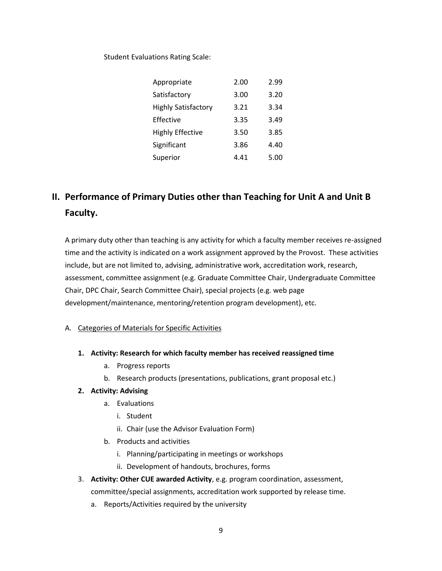Student Evaluations Rating Scale:

| Appropriate                | 2.00 | 2.99 |
|----------------------------|------|------|
| Satisfactory               | 3.00 | 3.20 |
| <b>Highly Satisfactory</b> | 3.21 | 3.34 |
| Effective                  | 3.35 | 3.49 |
| <b>Highly Effective</b>    | 3.50 | 3.85 |
| Significant                | 3.86 | 4.40 |
| Superior                   | 4.41 | 5.00 |

# **II. Performance of Primary Duties other than Teaching for Unit A and Unit B Faculty.**

A primary duty other than teaching is any activity for which a faculty member receives re-assigned time and the activity is indicated on a work assignment approved by the Provost. These activities include, but are not limited to, advising, administrative work, accreditation work, research, assessment, committee assignment (e.g. Graduate Committee Chair, Undergraduate Committee Chair, DPC Chair, Search Committee Chair), special projects (e.g. web page development/maintenance, mentoring/retention program development), etc.

# A. Categories of Materials for Specific Activities

- **1. Activity: Research for which faculty member has received reassigned time**
	- a. Progress reports
	- b. Research products (presentations, publications, grant proposal etc.)

# **2. Activity: Advising**

- a. Evaluations
	- i. Student
	- ii. Chair (use the Advisor Evaluation Form)
- b. Products and activities
	- i. Planning/participating in meetings or workshops
	- ii. Development of handouts, brochures, forms
- 3. **Activity: Other CUE awarded Activity**, e.g. program coordination, assessment, committee/special assignments, accreditation work supported by release time.
	- a. Reports/Activities required by the university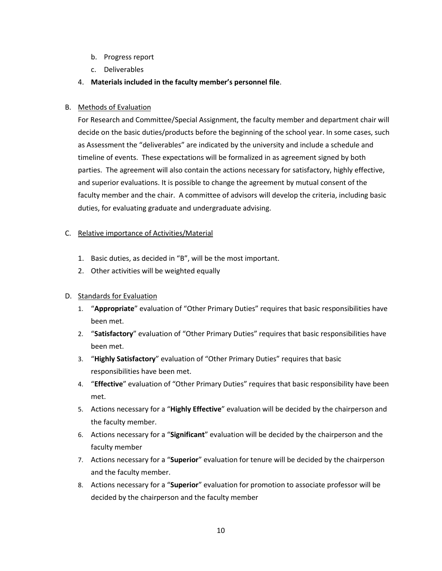- b. Progress report
- c. Deliverables
- 4. **Materials included in the faculty member's personnel file**.

# B. Methods of Evaluation

For Research and Committee/Special Assignment, the faculty member and department chair will decide on the basic duties/products before the beginning of the school year. In some cases, such as Assessment the "deliverables" are indicated by the university and include a schedule and timeline of events. These expectations will be formalized in as agreement signed by both parties. The agreement will also contain the actions necessary for satisfactory, highly effective, and superior evaluations. It is possible to change the agreement by mutual consent of the faculty member and the chair. A committee of advisors will develop the criteria, including basic duties, for evaluating graduate and undergraduate advising.

# C. Relative importance of Activities/Material

- 1. Basic duties, as decided in "B", will be the most important.
- 2. Other activities will be weighted equally

# D. Standards for Evaluation

- 1. "**Appropriate**" evaluation of "Other Primary Duties" requires that basic responsibilities have been met.
- 2. "**Satisfactory**" evaluation of "Other Primary Duties" requires that basic responsibilities have been met.
- 3. "**Highly Satisfactory**" evaluation of "Other Primary Duties" requires that basic responsibilities have been met.
- 4. "**Effective**" evaluation of "Other Primary Duties" requires that basic responsibility have been met.
- 5. Actions necessary for a "**Highly Effective**" evaluation will be decided by the chairperson and the faculty member.
- 6. Actions necessary for a "**Significant**" evaluation will be decided by the chairperson and the faculty member
- 7. Actions necessary for a "**Superior**" evaluation for tenure will be decided by the chairperson and the faculty member.
- 8. Actions necessary for a "**Superior**" evaluation for promotion to associate professor will be decided by the chairperson and the faculty member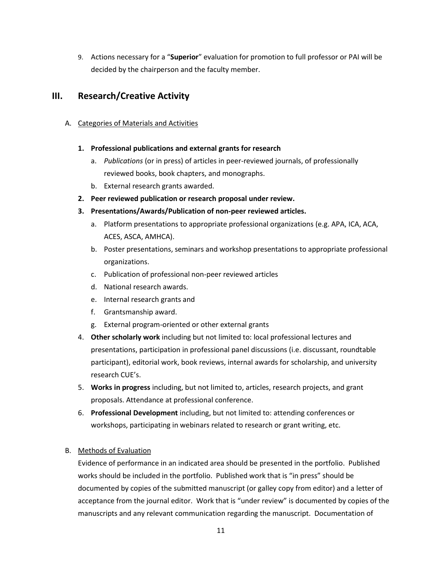9. Actions necessary for a "**Superior**" evaluation for promotion to full professor or PAI will be decided by the chairperson and the faculty member.

# **III. Research/Creative Activity**

# A. Categories of Materials and Activities

# **1. Professional publications and external grants for research**

- a. *Publications* (or in press) of articles in peer-reviewed journals, of professionally reviewed books, book chapters, and monographs.
- b. External research grants awarded.
- **2. Peer reviewed publication or research proposal under review.**

# **3. Presentations/Awards/Publication of non-peer reviewed articles.**

- a. Platform presentations to appropriate professional organizations (e.g. APA, ICA, ACA, ACES, ASCA, AMHCA).
- b. Poster presentations, seminars and workshop presentations to appropriate professional organizations.
- c. Publication of professional non-peer reviewed articles
- d. National research awards.
- e. Internal research grants and
- f. Grantsmanship award.
- g. External program-oriented or other external grants
- 4. **Other scholarly work** including but not limited to: local professional lectures and presentations, participation in professional panel discussions (i.e. discussant, roundtable participant), editorial work, book reviews, internal awards for scholarship, and university research CUE's.
- 5. **Works in progress** including, but not limited to, articles, research projects, and grant proposals. Attendance at professional conference.
- 6. **Professional Development** including, but not limited to: attending conferences or workshops, participating in webinars related to research or grant writing, etc.

# B. Methods of Evaluation

Evidence of performance in an indicated area should be presented in the portfolio. Published works should be included in the portfolio. Published work that is "in press" should be documented by copies of the submitted manuscript (or galley copy from editor) and a letter of acceptance from the journal editor. Work that is "under review" is documented by copies of the manuscripts and any relevant communication regarding the manuscript. Documentation of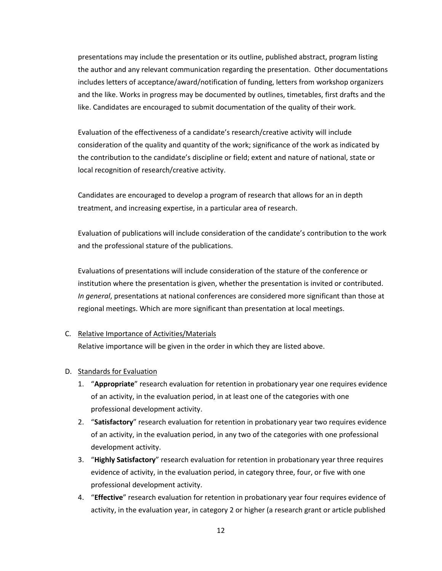presentations may include the presentation or its outline, published abstract, program listing the author and any relevant communication regarding the presentation. Other documentations includes letters of acceptance/award/notification of funding, letters from workshop organizers and the like. Works in progress may be documented by outlines, timetables, first drafts and the like. Candidates are encouraged to submit documentation of the quality of their work.

Evaluation of the effectiveness of a candidate's research/creative activity will include consideration of the quality and quantity of the work; significance of the work as indicated by the contribution to the candidate's discipline or field; extent and nature of national, state or local recognition of research/creative activity.

Candidates are encouraged to develop a program of research that allows for an in depth treatment, and increasing expertise, in a particular area of research.

Evaluation of publications will include consideration of the candidate's contribution to the work and the professional stature of the publications.

Evaluations of presentations will include consideration of the stature of the conference or institution where the presentation is given, whether the presentation is invited or contributed. *In general*, presentations at national conferences are considered more significant than those at regional meetings. Which are more significant than presentation at local meetings.

#### C. Relative Importance of Activities/Materials

Relative importance will be given in the order in which they are listed above.

#### D. Standards for Evaluation

- 1. "**Appropriate**" research evaluation for retention in probationary year one requires evidence of an activity, in the evaluation period, in at least one of the categories with one professional development activity.
- 2. "**Satisfactory**" research evaluation for retention in probationary year two requires evidence of an activity, in the evaluation period, in any two of the categories with one professional development activity.
- 3. "**Highly Satisfactory**" research evaluation for retention in probationary year three requires evidence of activity, in the evaluation period, in category three, four, or five with one professional development activity.
- 4. "**Effective**" research evaluation for retention in probationary year four requires evidence of activity, in the evaluation year, in category 2 or higher (a research grant or article published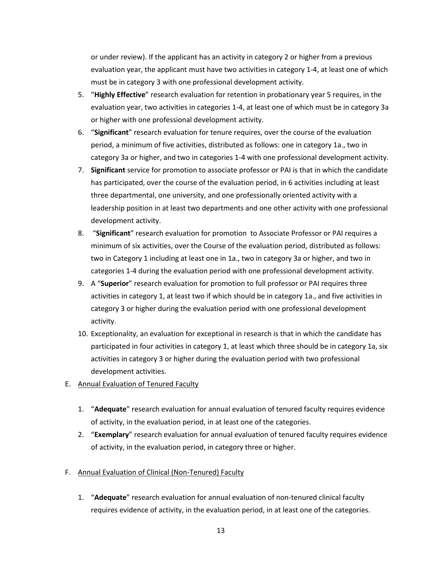or under review). If the applicant has an activity in category 2 or higher from a previous evaluation year, the applicant must have two activities in category 1-4, at least one of which must be in category 3 with one professional development activity.

- 5. "**Highly Effective**" research evaluation for retention in probationary year 5 requires, in the evaluation year, two activities in categories 1-4, at least one of which must be in category 3a or higher with one professional development activity.
- 6. "**Significant**" research evaluation for tenure requires, over the course of the evaluation period, a minimum of five activities, distributed as follows: one in category 1a., two in category 3a or higher, and two in categories 1-4 with one professional development activity.
- 7. **Significant** service for promotion to associate professor or PAI is that in which the candidate has participated, over the course of the evaluation period, in 6 activities including at least three departmental, one university, and one professionally oriented activity with a leadership position in at least two departments and one other activity with one professional development activity.
- 8. "**Significant**" research evaluation for promotion to Associate Professor or PAI requires a minimum of six activities, over the Course of the evaluation period, distributed as follows: two in Category 1 including at least one in 1a., two in category 3a or higher, and two in categories 1-4 during the evaluation period with one professional development activity.
- 9. A "**Superior**" research evaluation for promotion to full professor or PAI requires three activities in category 1, at least two if which should be in category 1a., and five activities in category 3 or higher during the evaluation period with one professional development activity.
- 10. Exceptionality, an evaluation for exceptional in research is that in which the candidate has participated in four activities in category 1, at least which three should be in category 1a, six activities in category 3 or higher during the evaluation period with two professional development activities.
- E. Annual Evaluation of Tenured Faculty
	- 1. "**Adequate**" research evaluation for annual evaluation of tenured faculty requires evidence of activity, in the evaluation period, in at least one of the categories.
	- 2. "**Exemplary**" research evaluation for annual evaluation of tenured faculty requires evidence of activity, in the evaluation period, in category three or higher.
- F. Annual Evaluation of Clinical (Non-Tenured) Faculty
	- 1. "**Adequate**" research evaluation for annual evaluation of non-tenured clinical faculty requires evidence of activity, in the evaluation period, in at least one of the categories.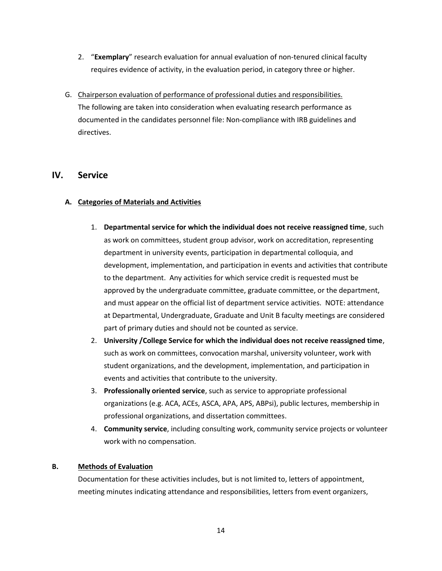- 2. "**Exemplary**" research evaluation for annual evaluation of non-tenured clinical faculty requires evidence of activity, in the evaluation period, in category three or higher.
- G. Chairperson evaluation of performance of professional duties and responsibilities. The following are taken into consideration when evaluating research performance as documented in the candidates personnel file: Non-compliance with IRB guidelines and directives.

# **IV. Service**

# **A. Categories of Materials and Activities**

- 1. **Departmental service for which the individual does not receive reassigned time**, such as work on committees, student group advisor, work on accreditation, representing department in university events, participation in departmental colloquia, and development, implementation, and participation in events and activities that contribute to the department. Any activities for which service credit is requested must be approved by the undergraduate committee, graduate committee, or the department, and must appear on the official list of department service activities. NOTE: attendance at Departmental, Undergraduate, Graduate and Unit B faculty meetings are considered part of primary duties and should not be counted as service.
- 2. **University /College Service for which the individual does not receive reassigned time**, such as work on committees, convocation marshal, university volunteer, work with student organizations, and the development, implementation, and participation in events and activities that contribute to the university.
- 3. **Professionally oriented service**, such as service to appropriate professional organizations (e.g. ACA, ACEs, ASCA, APA, APS, ABPsi), public lectures, membership in professional organizations, and dissertation committees.
- 4. **Community service**, including consulting work, community service projects or volunteer work with no compensation.

# **B. Methods of Evaluation**

Documentation for these activities includes, but is not limited to, letters of appointment, meeting minutes indicating attendance and responsibilities, letters from event organizers,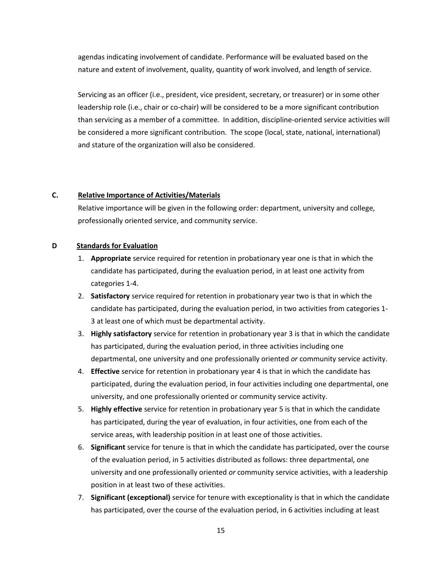agendas indicating involvement of candidate. Performance will be evaluated based on the nature and extent of involvement, quality, quantity of work involved, and length of service.

Servicing as an officer (i.e., president, vice president, secretary, or treasurer) or in some other leadership role (i.e., chair or co-chair) will be considered to be a more significant contribution than servicing as a member of a committee. In addition, discipline-oriented service activities will be considered a more significant contribution. The scope (local, state, national, international) and stature of the organization will also be considered.

# **C. Relative Importance of Activities/Materials**

Relative importance will be given in the following order: department, university and college, professionally oriented service, and community service.

#### **D Standards for Evaluation**

- 1. **Appropriate** service required for retention in probationary year one is that in which the candidate has participated, during the evaluation period, in at least one activity from categories 1-4.
- 2. **Satisfactory** service required for retention in probationary year two is that in which the candidate has participated, during the evaluation period, in two activities from categories 1- 3 at least one of which must be departmental activity.
- 3. **Highly satisfactory** service for retention in probationary year 3 is that in which the candidate has participated, during the evaluation period, in three activities including one departmental, one university and one professionally oriented *or* community service activity.
- 4. **Effective** service for retention in probationary year 4 is that in which the candidate has participated, during the evaluation period, in four activities including one departmental, one university, and one professionally oriented or community service activity.
- 5. **Highly effective** service for retention in probationary year 5 is that in which the candidate has participated, during the year of evaluation, in four activities, one from each of the service areas, with leadership position in at least one of those activities.
- 6. **Significant** service for tenure is that in which the candidate has participated, over the course of the evaluation period, in 5 activities distributed as follows: three departmental, one university and one professionally oriented *or* community service activities, with a leadership position in at least two of these activities.
- 7. **Significant (exceptional)** service for tenure with exceptionality is that in which the candidate has participated, over the course of the evaluation period, in 6 activities including at least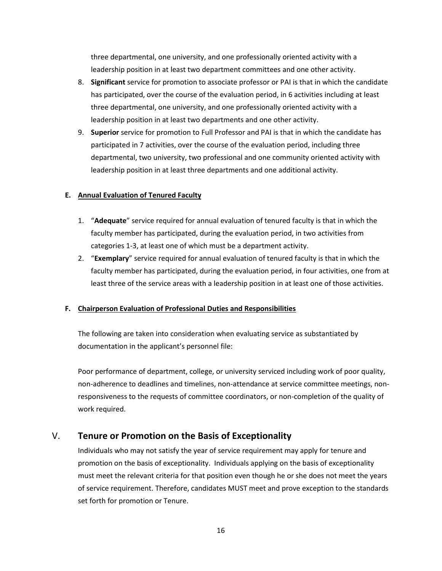three departmental, one university, and one professionally oriented activity with a leadership position in at least two department committees and one other activity.

- 8. **Significant** service for promotion to associate professor or PAI is that in which the candidate has participated, over the course of the evaluation period, in 6 activities including at least three departmental, one university, and one professionally oriented activity with a leadership position in at least two departments and one other activity.
- 9. **Superior** service for promotion to Full Professor and PAI is that in which the candidate has participated in 7 activities, over the course of the evaluation period, including three departmental, two university, two professional and one community oriented activity with leadership position in at least three departments and one additional activity.

#### **E. Annual Evaluation of Tenured Faculty**

- 1. "**Adequate**" service required for annual evaluation of tenured faculty is that in which the faculty member has participated, during the evaluation period, in two activities from categories 1-3, at least one of which must be a department activity.
- 2. "**Exemplary**" service required for annual evaluation of tenured faculty is that in which the faculty member has participated, during the evaluation period, in four activities, one from at least three of the service areas with a leadership position in at least one of those activities.

# **F. Chairperson Evaluation of Professional Duties and Responsibilities**

The following are taken into consideration when evaluating service as substantiated by documentation in the applicant's personnel file:

Poor performance of department, college, or university serviced including work of poor quality, non-adherence to deadlines and timelines, non-attendance at service committee meetings, nonresponsiveness to the requests of committee coordinators, or non-completion of the quality of work required.

# V. **Tenure or Promotion on the Basis of Exceptionality**

Individuals who may not satisfy the year of service requirement may apply for tenure and promotion on the basis of exceptionality. Individuals applying on the basis of exceptionality must meet the relevant criteria for that position even though he or she does not meet the years of service requirement. Therefore, candidates MUST meet and prove exception to the standards set forth for promotion or Tenure.